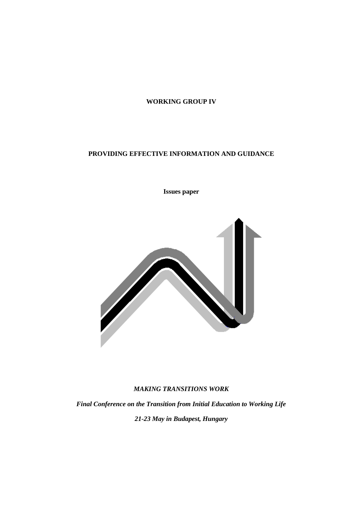## **WORKING GROUP IV**

# **PROVIDING EFFECTIVE INFORMATION AND GUIDANCE**

**Issues paper**



## *MAKING TRANSITIONS WORK*

*Final Conference on the Transition from Initial Education to Working Life 21-23 May in Budapest, Hungary*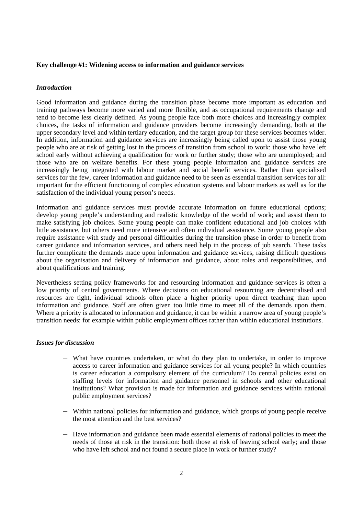### **Key challenge #1: Widening access to information and guidance services**

## *Introduction*

Good information and guidance during the transition phase become more important as education and training pathways become more varied and more flexible, and as occupational requirements change and tend to become less clearly defined. As young people face both more choices and increasingly complex choices, the tasks of information and guidance providers become increasingly demanding, both at the upper secondary level and within tertiary education, and the target group for these services becomes wider. In addition, information and guidance services are increasingly being called upon to assist those young people who are at risk of getting lost in the process of transition from school to work: those who have left school early without achieving a qualification for work or further study; those who are unemployed; and those who are on welfare benefits. For these young people information and guidance services are increasingly being integrated with labour market and social benefit services. Rather than specialised services for the few, career information and guidance need to be seen as essential transition services for all: important for the efficient functioning of complex education systems and labour markets as well as for the satisfaction of the individual young person's needs.

Information and guidance services must provide accurate information on future educational options; develop young people's understanding and realistic knowledge of the world of work; and assist them to make satisfying job choices. Some young people can make confident educational and job choices with little assistance, but others need more intensive and often individual assistance. Some young people also require assistance with study and personal difficulties during the transition phase in order to benefit from career guidance and information services, and others need help in the process of job search. These tasks further complicate the demands made upon information and guidance services, raising difficult questions about the organisation and delivery of information and guidance, about roles and responsibilities, and about qualifications and training.

Nevertheless setting policy frameworks for and resourcing information and guidance services is often a low priority of central governments. Where decisions on educational resourcing are decentralised and resources are tight, individual schools often place a higher priority upon direct teaching than upon information and guidance. Staff are often given too little time to meet all of the demands upon them. Where a priority is allocated to information and guidance, it can be within a narrow area of young people's transition needs: for example within public employment offices rather than within educational institutions.

#### *Issues for discussion*

- − What have countries undertaken, or what do they plan to undertake, in order to improve access to career information and guidance services for all young people? In which countries is career education a compulsory element of the curriculum? Do central policies exist on staffing levels for information and guidance personnel in schools and other educational institutions? What provision is made for information and guidance services within national public employment services?
- Within national policies for information and guidance, which groups of young people receive the most attention and the best services?
- Have information and guidance been made essential elements of national policies to meet the needs of those at risk in the transition: both those at risk of leaving school early; and those who have left school and not found a secure place in work or further study?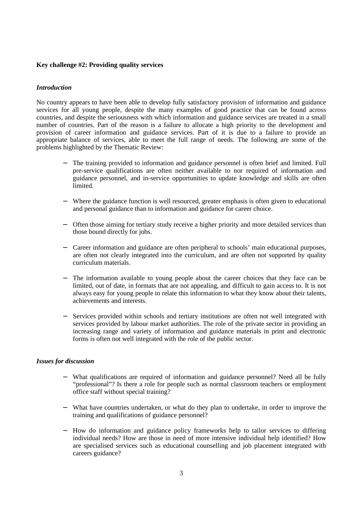## **Key challenge #2: Providing quality services**

### *Introduction*

No country appears to have been able to develop fully satisfactory provision of information and guidance services for all young people, despite the many examples of good practice that can be found across countries, and despite the seriousness with which information and guidance services are treated in a small number of countries. Part of the reason is a failure to allocate a high priority to the development and provision of career information and guidance services. Part of it is due to a failure to provide an appropriate balance of services, able to meet the full range of needs. The following are some of the problems highlighted by the Thematic Review:

- The training provided to information and guidance personnel is often brief and limited. Full pre-service qualifications are often neither available to nor required of information and guidance personnel, and in-service opportunities to update knowledge and skills are often limited.
- − Where the guidance function is well resourced, greater emphasis is often given to educational and personal guidance than to information and guidance for career choice.
- − Often those aiming for tertiary study receive a higher priority and more detailed services than those bound directly for jobs.
- − Career information and guidance are often peripheral to schools' main educational purposes, are often not clearly integrated into the curriculum, and are often not supported by quality curriculum materials.
- − The information available to young people about the career choices that they face can be limited, out of date, in formats that are not appealing, and difficult to gain access to. It is not always easy for young people to relate this information to what they know about their talents, achievements and interests.
- Services provided within schools and tertiary institutions are often not well integrated with services provided by labour market authorities. The role of the private sector in providing an increasing range and variety of information and guidance materials in print and electronic forms is often not well integrated with the role of the public sector.

#### *Issues for discussion*

- What qualifications are required of information and guidance personnel? Need all be fully "professional"? Is there a role for people such as normal classroom teachers or employment office staff without special training?
- − What have countries undertaken, or what do they plan to undertake, in order to improve the training and qualifications of guidance personnel?
- − How do information and guidance policy frameworks help to tailor services to differing individual needs? How are those in need of more intensive individual help identified? How are specialised services such as educational counselling and job placement integrated with careers guidance?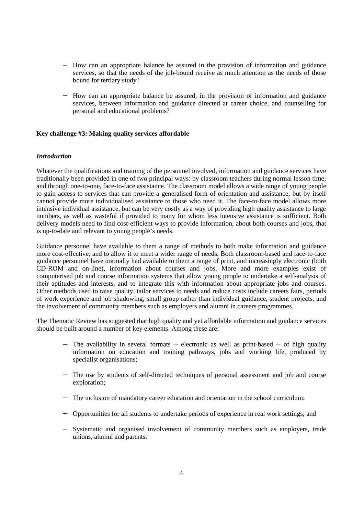- − How can an appropriate balance be assured in the provision of information and guidance services, so that the needs of the job-bound receive as much attention as the needs of those bound for tertiary study?
- − How can an appropriate balance be assured, in the provision of information and guidance services, between information and guidance directed at career choice, and counselling for personal and educational problems?

## **Key challenge #3: Making quality services affordable**

#### *Introduction*

Whatever the qualifications and training of the personnel involved, information and guidance services have traditionally been provided in one of two principal ways: by classroom teachers during normal lesson time; and through one-to-one, face-to-face assistance. The classroom model allows a wide range of young people to gain access to services that can provide a generalised form of orientation and assistance, but by itself cannot provide more individualised assistance to those who need it. The face-to-face model allows more intensive individual assistance, but can be very costly as a way of providing high quality assistance to large numbers, as well as wasteful if provided to many for whom less intensive assistance is sufficient. Both delivery models need to find cost-efficient ways to provide information, about both courses and jobs, that is up-to-date and relevant to young people's needs.

Guidance personnel have available to them a range of methods to both make information and guidance more cost-effective, and to allow it to meet a wider range of needs. Both classroom-based and face-to-face guidance personnel have normally had available to them a range of print, and increasingly electronic (both CD-ROM and on-line), information about courses and jobs. More and more examples exist of computerised job and course information systems that allow young people to undertake a self-analysis of their aptitudes and interests, and to integrate this with information about appropriate jobs and courses. Other methods used to raise quality, tailor services to needs and reduce costs include careers fairs, periods of work experience and job shadowing, small group rather than individual guidance, student projects, and the involvement of community members such as employers and alumni in careers programmes.

The Thematic Review has suggested that high quality and yet affordable information and guidance services should be built around a number of key elements. Among these are:

- The availability in several formats -- electronic as well as print-based -- of high quality information on education and training pathways, jobs and working life, produced by specialist organisations;
- − The use by students of self-directed techniques of personal assessment and job and course exploration;
- − The inclusion of mandatory career education and orientation in the school curriculum;
- − Opportunities for all students to undertake periods of experience in real work settings; and
- Systematic and organised involvement of community members such as employers, trade unions, alumni and parents.